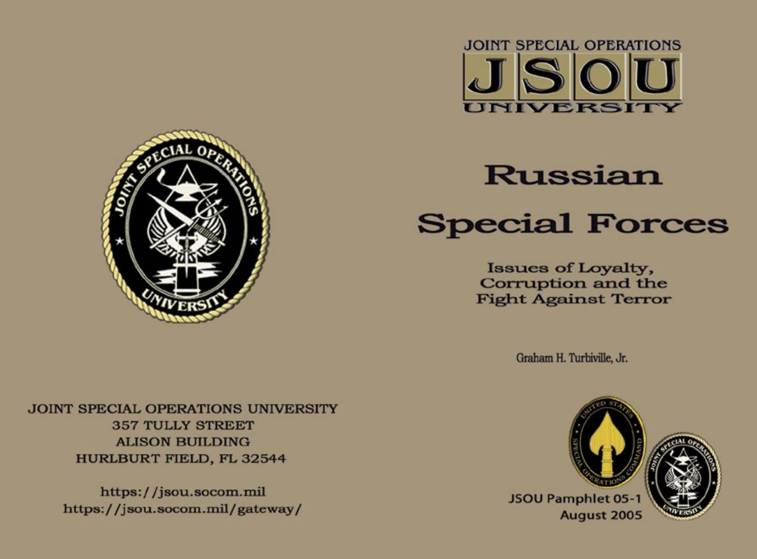



# **Russian Special Forces**

**Issues of Loyalty,** Corruption and the **Fight Against Terror** 

Graham H. Turbiville, Jr.



**JOINT SPECIAL OPERATIONS UNIVERSITY 357 TULLY STREET ALISON BUILDING HURLBURT FIELD, FL 32544** 

> https://jsou.socom.mil https://jsou.socom.mil/gateway/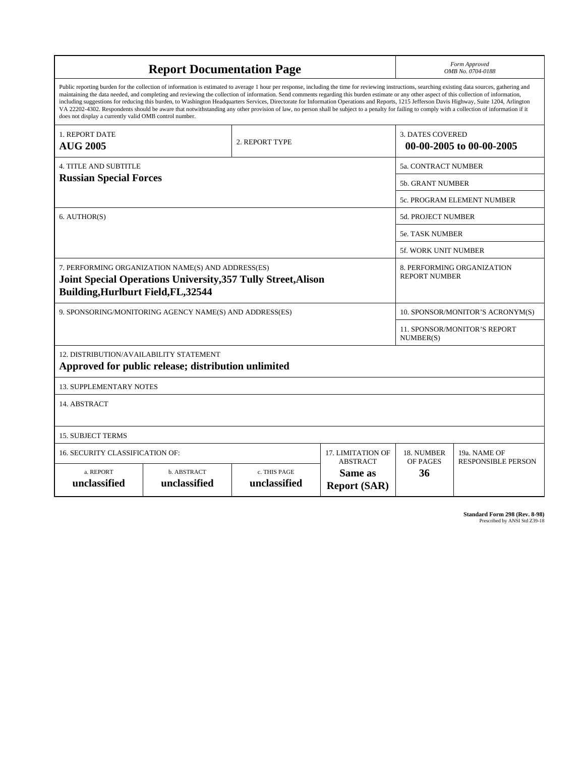| <b>Report Documentation Page</b>                                                                                                                                                                                                                                                                                                                                                                                                                                                                                                                                                                                                                                                                                                                                                                                                                                   |                             |                              |                                                   | Form Approved<br>OMB No. 0704-0188                  |                           |
|--------------------------------------------------------------------------------------------------------------------------------------------------------------------------------------------------------------------------------------------------------------------------------------------------------------------------------------------------------------------------------------------------------------------------------------------------------------------------------------------------------------------------------------------------------------------------------------------------------------------------------------------------------------------------------------------------------------------------------------------------------------------------------------------------------------------------------------------------------------------|-----------------------------|------------------------------|---------------------------------------------------|-----------------------------------------------------|---------------------------|
| Public reporting burden for the collection of information is estimated to average 1 hour per response, including the time for reviewing instructions, searching existing data sources, gathering and<br>maintaining the data needed, and completing and reviewing the collection of information. Send comments regarding this burden estimate or any other aspect of this collection of information,<br>including suggestions for reducing this burden, to Washington Headquarters Services, Directorate for Information Operations and Reports, 1215 Jefferson Davis Highway, Suite 1204, Arlington<br>VA 22202-4302. Respondents should be aware that notwithstanding any other provision of law, no person shall be subject to a penalty for failing to comply with a collection of information if it<br>does not display a currently valid OMB control number. |                             |                              |                                                   |                                                     |                           |
| 1. REPORT DATE<br><b>AUG 2005</b>                                                                                                                                                                                                                                                                                                                                                                                                                                                                                                                                                                                                                                                                                                                                                                                                                                  |                             | 2. REPORT TYPE               |                                                   | <b>3. DATES COVERED</b><br>00-00-2005 to 00-00-2005 |                           |
| <b>4. TITLE AND SUBTITLE</b>                                                                                                                                                                                                                                                                                                                                                                                                                                                                                                                                                                                                                                                                                                                                                                                                                                       |                             |                              |                                                   | 5a. CONTRACT NUMBER                                 |                           |
| <b>Russian Special Forces</b>                                                                                                                                                                                                                                                                                                                                                                                                                                                                                                                                                                                                                                                                                                                                                                                                                                      |                             |                              |                                                   | 5b. GRANT NUMBER                                    |                           |
|                                                                                                                                                                                                                                                                                                                                                                                                                                                                                                                                                                                                                                                                                                                                                                                                                                                                    |                             |                              |                                                   | <b>5c. PROGRAM ELEMENT NUMBER</b>                   |                           |
| 6. AUTHOR(S)                                                                                                                                                                                                                                                                                                                                                                                                                                                                                                                                                                                                                                                                                                                                                                                                                                                       |                             |                              |                                                   | 5d. PROJECT NUMBER                                  |                           |
|                                                                                                                                                                                                                                                                                                                                                                                                                                                                                                                                                                                                                                                                                                                                                                                                                                                                    |                             |                              |                                                   | 5e. TASK NUMBER                                     |                           |
|                                                                                                                                                                                                                                                                                                                                                                                                                                                                                                                                                                                                                                                                                                                                                                                                                                                                    |                             |                              |                                                   | 5f. WORK UNIT NUMBER                                |                           |
| 7. PERFORMING ORGANIZATION NAME(S) AND ADDRESS(ES)<br>Joint Special Operations University, 357 Tully Street, Alison<br><b>Building, Hurlburt Field, FL, 32544</b>                                                                                                                                                                                                                                                                                                                                                                                                                                                                                                                                                                                                                                                                                                  |                             |                              |                                                   | 8. PERFORMING ORGANIZATION<br><b>REPORT NUMBER</b>  |                           |
| 9. SPONSORING/MONITORING AGENCY NAME(S) AND ADDRESS(ES)                                                                                                                                                                                                                                                                                                                                                                                                                                                                                                                                                                                                                                                                                                                                                                                                            |                             |                              |                                                   | 10. SPONSOR/MONITOR'S ACRONYM(S)                    |                           |
|                                                                                                                                                                                                                                                                                                                                                                                                                                                                                                                                                                                                                                                                                                                                                                                                                                                                    |                             |                              |                                                   | <b>11. SPONSOR/MONITOR'S REPORT</b><br>NUMBER(S)    |                           |
| 12. DISTRIBUTION/AVAILABILITY STATEMENT<br>Approved for public release; distribution unlimited                                                                                                                                                                                                                                                                                                                                                                                                                                                                                                                                                                                                                                                                                                                                                                     |                             |                              |                                                   |                                                     |                           |
| <b>13. SUPPLEMENTARY NOTES</b>                                                                                                                                                                                                                                                                                                                                                                                                                                                                                                                                                                                                                                                                                                                                                                                                                                     |                             |                              |                                                   |                                                     |                           |
| 14. ABSTRACT                                                                                                                                                                                                                                                                                                                                                                                                                                                                                                                                                                                                                                                                                                                                                                                                                                                       |                             |                              |                                                   |                                                     |                           |
| <b>15. SUBJECT TERMS</b>                                                                                                                                                                                                                                                                                                                                                                                                                                                                                                                                                                                                                                                                                                                                                                                                                                           |                             |                              |                                                   |                                                     |                           |
| 16. SECURITY CLASSIFICATION OF:                                                                                                                                                                                                                                                                                                                                                                                                                                                                                                                                                                                                                                                                                                                                                                                                                                    | 17. LIMITATION OF           | 18. NUMBER                   | 19a. NAME OF                                      |                                                     |                           |
| a. REPORT<br>unclassified                                                                                                                                                                                                                                                                                                                                                                                                                                                                                                                                                                                                                                                                                                                                                                                                                                          | b. ABSTRACT<br>unclassified | c. THIS PAGE<br>unclassified | <b>ABSTRACT</b><br>Same as<br><b>Report (SAR)</b> | OF PAGES<br>36                                      | <b>RESPONSIBLE PERSON</b> |

**Standard Form 298 (Rev. 8-98)**<br>Prescribed by ANSI Std Z39-18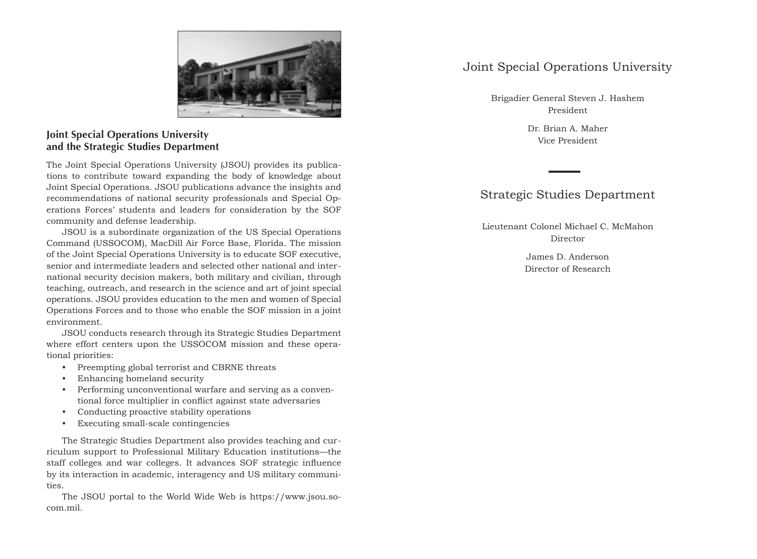

# **Joint Special Operations University and the Strategic Studies Department**

The Joint Special Operations University (JSOU) provides its publications to contribute toward expanding the body of knowledge about Joint Special Operations. JSOU publications advance the insights and recommendations of national security professionals and Special Operations Forces' students and leaders for consideration by the SOF community and defense leadership.

JSOU is a subordinate organization of the US Special Operations Command (USSOCOM), MacDill Air Force Base, Florida. The mission of the Joint Special Operations University is to educate SOF executive, senior and intermediate leaders and selected other national and international security decision makers, both military and civilian, through teaching, outreach, and research in the science and art of joint special operations. JSOU provides education to the men and women of Special Operations Forces and to those who enable the SOF mission in a joint environment.

JSOU conducts research through its Strategic Studies Department where effort centers upon the USSOCOM mission and these operational priorities:

- Preempting global terrorist and CBRNE threats
- Enhancing homeland security
- Performing unconventional warfare and serving as a conven tional force multiplier in conflict against state adversaries
- Conducting proactive stability operations
- Executing small-scale contingencies

The Strategic Studies Department also provides teaching and curriculum support to Professional Military Education institutions—the staff colleges and war colleges. It advances SOF strategic influence by its interaction in academic, interagency and US military communities.

The JSOU portal to the World Wide Web is https://www.jsou.socom.mil.

# Joint Special Operations University

Brigadier General Steven J. Hashem President

> Dr. Brian A. Maher Vice President

# Strategic Studies Department

Lieutenant Colonel Michael C. McMahon Director

> James D. Anderson Director of Research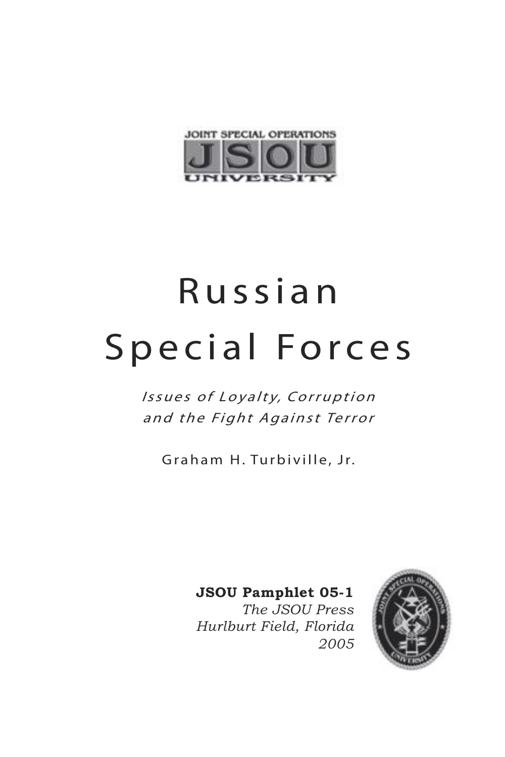

# R u s s i a n Special Forces

Issues of Loyalty, Corruption and the Fight Against Terror

Graham H. Turbiville, Jr.

**JSOU Pamphlet 05-1**

*The JSOU Press Hurlburt Field, Florida 2005*

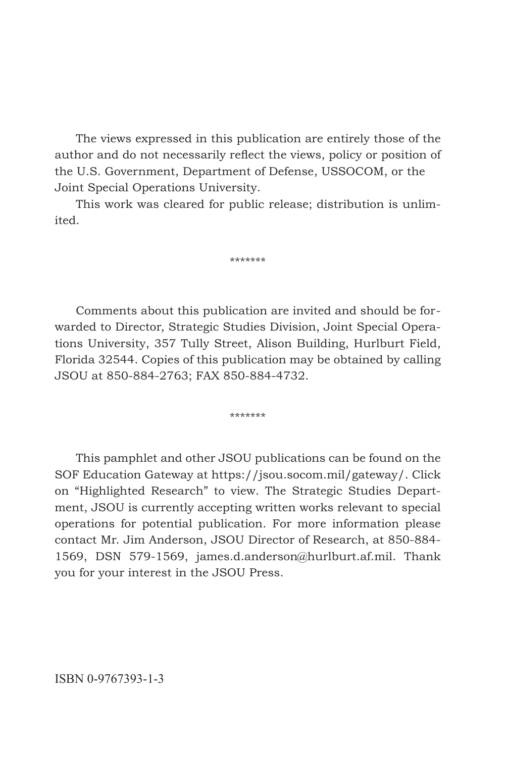The views expressed in this publication are entirely those of the author and do not necessarily reflect the views, policy or position of the U.S. Government, Department of Defense, USSOCOM, or the Joint Special Operations University.

This work was cleared for public release; distribution is unlimited.

\*\*\*\*\*\*\*

Comments about this publication are invited and should be forwarded to Director, Strategic Studies Division, Joint Special Operations University, 357 Tully Street, Alison Building, Hurlburt Field, Florida 32544. Copies of this publication may be obtained by calling JSOU at 850-884-2763; FAX 850-884-4732.

\*\*\*\*\*\*\*

This pamphlet and other JSOU publications can be found on the SOF Education Gateway at https://jsou.socom.mil/gateway/. Click on "Highlighted Research" to view. The Strategic Studies Department, JSOU is currently accepting written works relevant to special operations for potential publication. For more information please contact Mr. Jim Anderson, JSOU Director of Research, at 850-884- 1569, DSN 579-1569, james.d.anderson@hurlburt.af.mil. Thank you for your interest in the JSOU Press.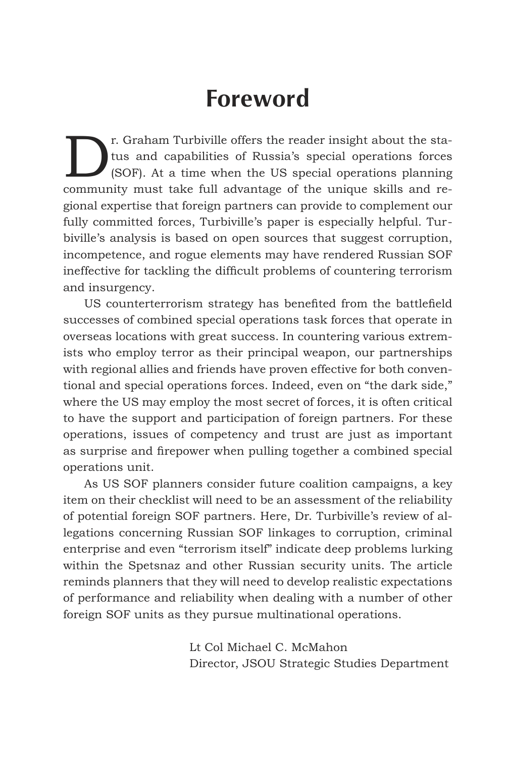# **Foreword**

The State Turbiville offers the reader insight about the state of the state of State and capabilities of Russia's special operations forces (SOF). At a time when the US special operations planning tus and capabilities of Russia's special operations forces (SOF). At a time when the US special operations planning community must take full advantage of the unique skills and regional expertise that foreign partners can provide to complement our fully committed forces, Turbiville's paper is especially helpful. Turbiville's analysis is based on open sources that suggest corruption, incompetence, and rogue elements may have rendered Russian SOF ineffective for tackling the difficult problems of countering terrorism and insurgency.

US counterterrorism strategy has benefited from the battlefield successes of combined special operations task forces that operate in overseas locations with great success. In countering various extremists who employ terror as their principal weapon, our partnerships with regional allies and friends have proven effective for both conventional and special operations forces. Indeed, even on "the dark side," where the US may employ the most secret of forces, it is often critical to have the support and participation of foreign partners. For these operations, issues of competency and trust are just as important as surprise and firepower when pulling together a combined special operations unit.

As US SOF planners consider future coalition campaigns, a key item on their checklist will need to be an assessment of the reliability of potential foreign SOF partners. Here, Dr. Turbiville's review of allegations concerning Russian SOF linkages to corruption, criminal enterprise and even "terrorism itself" indicate deep problems lurking within the Spetsnaz and other Russian security units. The article reminds planners that they will need to develop realistic expectations of performance and reliability when dealing with a number of other foreign SOF units as they pursue multinational operations.

> Lt Col Michael C. McMahon Director, JSOU Strategic Studies Department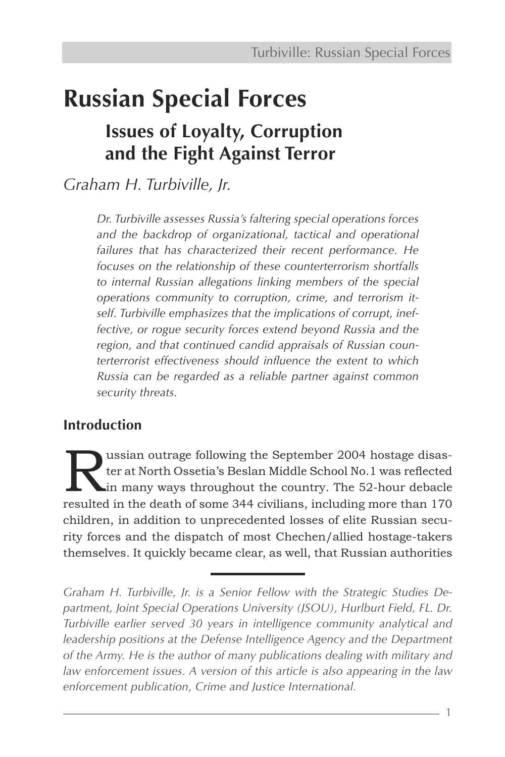# **Russian Special Forces Issues of Loyalty, Corruption and the Fight Against Terror**

*Graham H. Turbiville, Jr.*

*Dr. Turbiville assesses Russia's faltering special operations forces and the backdrop of organizational, tactical and operational failures that has characterized their recent performance. He focuses on the relationship of these counterterrorism shortfalls to internal Russian allegations linking members of the special operations community to corruption, crime, and terrorism itself. Turbiville emphasizes that the implications of corrupt, ineffective, or rogue security forces extend beyond Russia and the region, and that continued candid appraisals of Russian counterterrorist effectiveness should influence the extent to which Russia can be regarded as a reliable partner against common security threats.*

# **Introduction**

Ussian outrage following the September 2004 hostage disaster at North Ossetia's Beslan Middle School No.1 was reflected<br>in many ways throughout the country. The 52-hour debacle ter at North Ossetia's Beslan Middle School No.1 was reflected in many ways throughout the country. The 52-hour debacle resulted in the death of some 344 civilians, including more than 170 children, in addition to unprecedented losses of elite Russian security forces and the dispatch of most Chechen/allied hostage-takers themselves. It quickly became clear, as well, that Russian authorities

*Graham H. Turbiville, Jr. is a Senior Fellow with the Strategic Studies De*partment, Joint Special Operations University (JSOU), Hurlburt Field, FL. Dr. *Turbiville earlier served 30 years in intelligence community analytical and leadership positions at the Defense Intelligence Agency and the Department of the Army. He is the author of many publications dealing with military and law enforcement issues. A version of this article is also appearing in the law enforcement publication, Crime and Justice International.*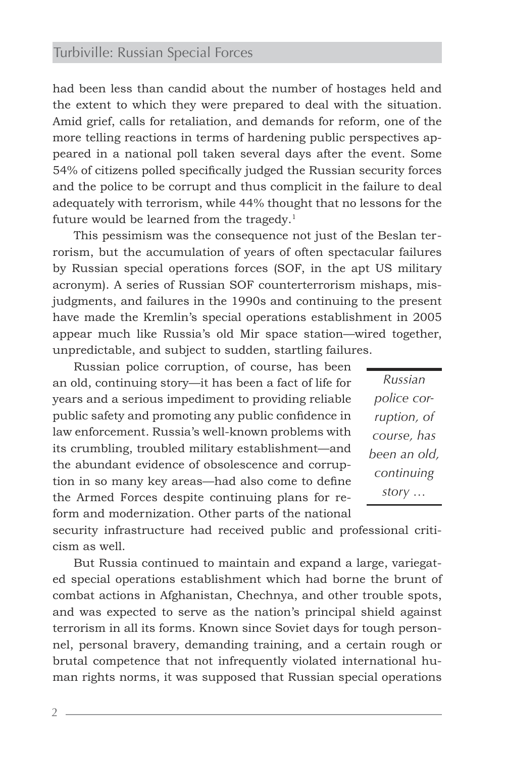had been less than candid about the number of hostages held and the extent to which they were prepared to deal with the situation. Amid grief, calls for retaliation, and demands for reform, one of the more telling reactions in terms of hardening public perspectives appeared in a national poll taken several days after the event. Some 54% of citizens polled specifically judged the Russian security forces and the police to be corrupt and thus complicit in the failure to deal adequately with terrorism, while 44% thought that no lessons for the future would be learned from the tragedy. $1$ 

This pessimism was the consequence not just of the Beslan terrorism, but the accumulation of years of often spectacular failures by Russian special operations forces (SOF, in the apt US military acronym). A series of Russian SOF counterterrorism mishaps, misjudgments, and failures in the 1990s and continuing to the present have made the Kremlin's special operations establishment in 2005 appear much like Russia's old Mir space station—wired together, unpredictable, and subject to sudden, startling failures.

Russian police corruption, of course, has been an old, continuing story—it has been a fact of life for years and a serious impediment to providing reliable public safety and promoting any public confidence in law enforcement. Russia's well-known problems with its crumbling, troubled military establishment—and the abundant evidence of obsolescence and corruption in so many key areas—had also come to define the Armed Forces despite continuing plans for reform and modernization. Other parts of the national

*Russian police corruption, of course, has been an old, continuing story …*

security infrastructure had received public and professional criticism as well.

But Russia continued to maintain and expand a large, variegated special operations establishment which had borne the brunt of combat actions in Afghanistan, Chechnya, and other trouble spots, and was expected to serve as the nation's principal shield against terrorism in all its forms. Known since Soviet days for tough personnel, personal bravery, demanding training, and a certain rough or brutal competence that not infrequently violated international human rights norms, it was supposed that Russian special operations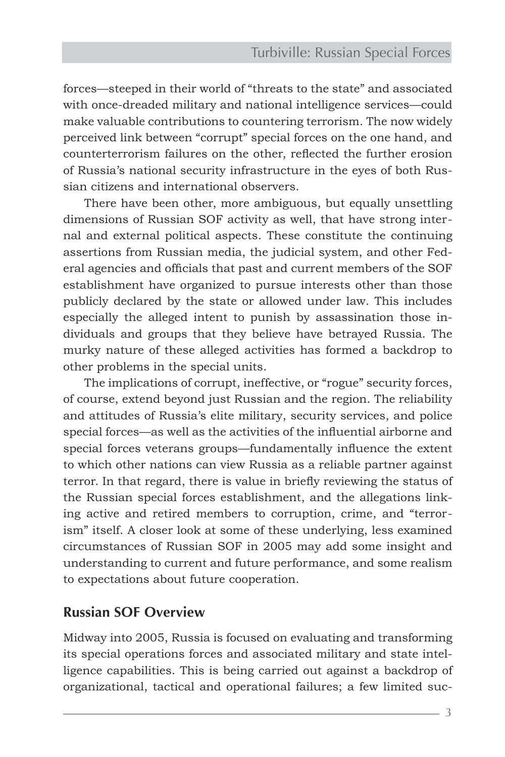forces—steeped in their world of "threats to the state" and associated with once-dreaded military and national intelligence services—could make valuable contributions to countering terrorism. The now widely perceived link between "corrupt" special forces on the one hand, and counterterrorism failures on the other, reflected the further erosion of Russia's national security infrastructure in the eyes of both Russian citizens and international observers.

There have been other, more ambiguous, but equally unsettling dimensions of Russian SOF activity as well, that have strong internal and external political aspects. These constitute the continuing assertions from Russian media, the judicial system, and other Federal agencies and officials that past and current members of the SOF establishment have organized to pursue interests other than those publicly declared by the state or allowed under law. This includes especially the alleged intent to punish by assassination those individuals and groups that they believe have betrayed Russia. The murky nature of these alleged activities has formed a backdrop to other problems in the special units.

The implications of corrupt, ineffective, or "rogue" security forces, of course, extend beyond just Russian and the region. The reliability and attitudes of Russia's elite military, security services, and police special forces—as well as the activities of the influential airborne and special forces veterans groups—fundamentally influence the extent to which other nations can view Russia as a reliable partner against terror. In that regard, there is value in briefly reviewing the status of the Russian special forces establishment, and the allegations linking active and retired members to corruption, crime, and "terrorism" itself. A closer look at some of these underlying, less examined circumstances of Russian SOF in 2005 may add some insight and understanding to current and future performance, and some realism to expectations about future cooperation.

#### **Russian SOF Overview**

Midway into 2005, Russia is focused on evaluating and transforming its special operations forces and associated military and state intelligence capabilities. This is being carried out against a backdrop of organizational, tactical and operational failures; a few limited suc-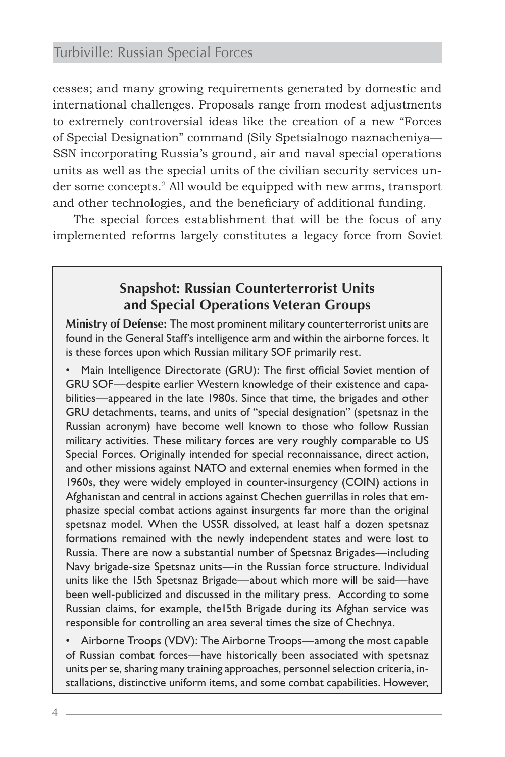cesses; and many growing requirements generated by domestic and international challenges. Proposals range from modest adjustments to extremely controversial ideas like the creation of a new "Forces of Special Designation" command (Sily Spetsialnogo naznacheniya— SSN incorporating Russia's ground, air and naval special operations units as well as the special units of the civilian security services under some concepts.2 All would be equipped with new arms, transport and other technologies, and the beneficiary of additional funding.

The special forces establishment that will be the focus of any implemented reforms largely constitutes a legacy force from Soviet

## **Snapshot: Russian Counterterrorist Units and Special Operations Veteran Groups**

**Ministry of Defense:** The most prominent military counterterrorist units are found in the General Staff's intelligence arm and within the airborne forces. It is these forces upon which Russian military SOF primarily rest.

• Main Intelligence Directorate (GRU): The first official Soviet mention of GRU SOF—despite earlier Western knowledge of their existence and capabilities—appeared in the late 1980s. Since that time, the brigades and other GRU detachments, teams, and units of "special designation" (spetsnaz in the Russian acronym) have become well known to those who follow Russian military activities. These military forces are very roughly comparable to US Special Forces. Originally intended for special reconnaissance, direct action, and other missions against NATO and external enemies when formed in the 1960s, they were widely employed in counter-insurgency (COIN) actions in Afghanistan and central in actions against Chechen guerrillas in roles that emphasize special combat actions against insurgents far more than the original spetsnaz model. When the USSR dissolved, at least half a dozen spetsnaz formations remained with the newly independent states and were lost to Russia. There are now a substantial number of Spetsnaz Brigades—including Navy brigade-size Spetsnaz units—in the Russian force structure. Individual units like the 15th Spetsnaz Brigade—about which more will be said—have been well-publicized and discussed in the military press. According to some Russian claims, for example, the15th Brigade during its Afghan service was responsible for controlling an area several times the size of Chechnya.

• Airborne Troops (VDV): The Airborne Troops—among the most capable of Russian combat forces—have historically been associated with spetsnaz units per se, sharing many training approaches, personnel selection criteria, installations, distinctive uniform items, and some combat capabilities. However,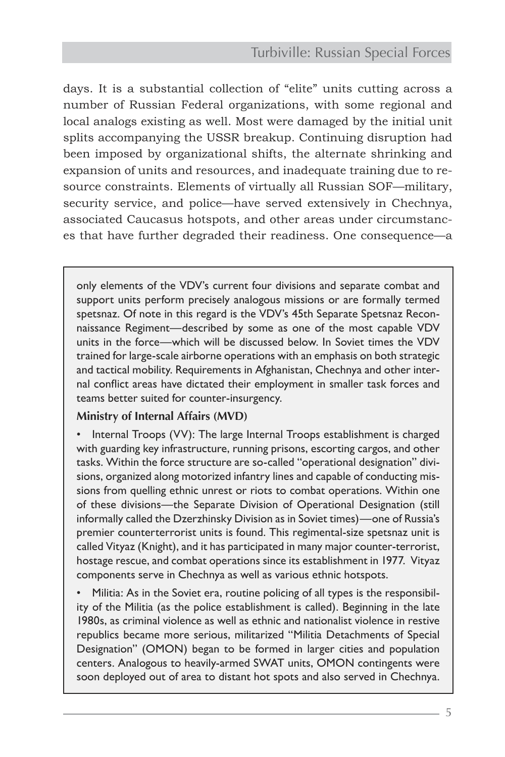days. It is a substantial collection of "elite" units cutting across a number of Russian Federal organizations, with some regional and local analogs existing as well. Most were damaged by the initial unit splits accompanying the USSR breakup. Continuing disruption had been imposed by organizational shifts, the alternate shrinking and expansion of units and resources, and inadequate training due to resource constraints. Elements of virtually all Russian SOF—military, security service, and police—have served extensively in Chechnya, associated Caucasus hotspots, and other areas under circumstances that have further degraded their readiness. One consequence—a

only elements of the VDV's current four divisions and separate combat and support units perform precisely analogous missions or are formally termed spetsnaz. Of note in this regard is the VDV's 45th Separate Spetsnaz Reconnaissance Regiment—described by some as one of the most capable VDV units in the force—which will be discussed below. In Soviet times the VDV trained for large-scale airborne operations with an emphasis on both strategic and tactical mobility. Requirements in Afghanistan, Chechnya and other internal conflict areas have dictated their employment in smaller task forces and teams better suited for counter-insurgency.

#### **Ministry of Internal Affairs (MVD)**

• Internal Troops (VV): The large Internal Troops establishment is charged with guarding key infrastructure, running prisons, escorting cargos, and other tasks. Within the force structure are so-called "operational designation" divisions, organized along motorized infantry lines and capable of conducting missions from quelling ethnic unrest or riots to combat operations. Within one of these divisions—the Separate Division of Operational Designation (still informally called the Dzerzhinsky Division as in Soviet times)—one of Russia's premier counterterrorist units is found. This regimental-size spetsnaz unit is called Vityaz (Knight), and it has participated in many major counter-terrorist, hostage rescue, and combat operations since its establishment in 1977. Vityaz components serve in Chechnya as well as various ethnic hotspots.

• Militia: As in the Soviet era, routine policing of all types is the responsibility of the Militia (as the police establishment is called). Beginning in the late 1980s, as criminal violence as well as ethnic and nationalist violence in restive republics became more serious, militarized "Militia Detachments of Special Designation" (OMON) began to be formed in larger cities and population centers. Analogous to heavily-armed SWAT units, OMON contingents were soon deployed out of area to distant hot spots and also served in Chechnya.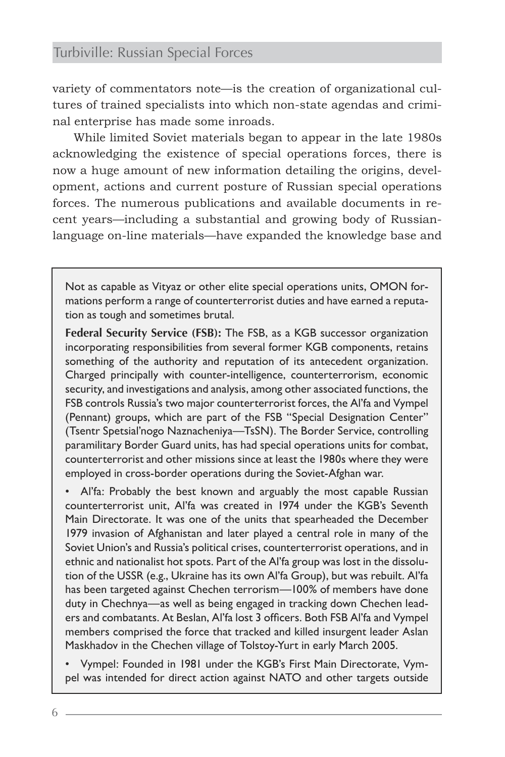variety of commentators note—is the creation of organizational cultures of trained specialists into which non-state agendas and criminal enterprise has made some inroads.

While limited Soviet materials began to appear in the late 1980s acknowledging the existence of special operations forces, there is now a huge amount of new information detailing the origins, development, actions and current posture of Russian special operations forces. The numerous publications and available documents in recent years—including a substantial and growing body of Russianlanguage on-line materials—have expanded the knowledge base and

Not as capable as Vityaz or other elite special operations units, OMON formations perform a range of counterterrorist duties and have earned a reputation as tough and sometimes brutal.

**Federal Security Service (FSB):** The FSB, as a KGB successor organization incorporating responsibilities from several former KGB components, retains something of the authority and reputation of its antecedent organization. Charged principally with counter-intelligence, counterterrorism, economic security, and investigations and analysis, among other associated functions, the FSB controls Russia's two major counterterrorist forces, the Al'fa and Vympel (Pennant) groups, which are part of the FSB "Special Designation Center" (Tsentr Spetsial'nogo Naznacheniya—TsSN). The Border Service, controlling paramilitary Border Guard units, has had special operations units for combat, counterterrorist and other missions since at least the 1980s where they were employed in cross-border operations during the Soviet-Afghan war.

• Al'fa: Probably the best known and arguably the most capable Russian counterterrorist unit, Al'fa was created in 1974 under the KGB's Seventh Main Directorate. It was one of the units that spearheaded the December 1979 invasion of Afghanistan and later played a central role in many of the Soviet Union's and Russia's political crises, counterterrorist operations, and in ethnic and nationalist hot spots. Part of the Al'fa group was lost in the dissolution of the USSR (e.g., Ukraine has its own Al'fa Group), but was rebuilt. Al'fa has been targeted against Chechen terrorism—100% of members have done duty in Chechnya—as well as being engaged in tracking down Chechen leaders and combatants. At Beslan, Al'fa lost 3 officers. Both FSB Al'fa and Vympel members comprised the force that tracked and killed insurgent leader Aslan Maskhadov in the Chechen village of Tolstoy-Yurt in early March 2005.

• Vympel: Founded in 1981 under the KGB's First Main Directorate, Vympel was intended for direct action against NATO and other targets outside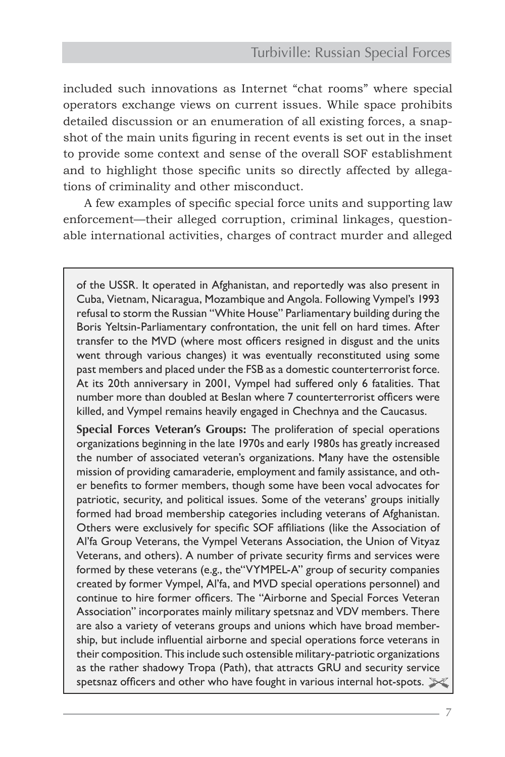included such innovations as Internet "chat rooms" where special operators exchange views on current issues. While space prohibits detailed discussion or an enumeration of all existing forces, a snapshot of the main units figuring in recent events is set out in the inset to provide some context and sense of the overall SOF establishment and to highlight those specific units so directly affected by allegations of criminality and other misconduct.

A few examples of specific special force units and supporting law enforcement—their alleged corruption, criminal linkages, questionable international activities, charges of contract murder and alleged

of the USSR. It operated in Afghanistan, and reportedly was also present in Cuba, Vietnam, Nicaragua, Mozambique and Angola. Following Vympel's 1993 refusal to storm the Russian "White House" Parliamentary building during the Boris Yeltsin-Parliamentary confrontation, the unit fell on hard times. After transfer to the MVD (where most officers resigned in disgust and the units went through various changes) it was eventually reconstituted using some past members and placed under the FSB as a domestic counterterrorist force. At its 20th anniversary in 2001, Vympel had suffered only 6 fatalities. That number more than doubled at Beslan where 7 counterterrorist officers were killed, and Vympel remains heavily engaged in Chechnya and the Caucasus.

**Special Forces Veteran's Groups:** The proliferation of special operations organizations beginning in the late 1970s and early 1980s has greatly increased the number of associated veteran's organizations. Many have the ostensible mission of providing camaraderie, employment and family assistance, and other benefits to former members, though some have been vocal advocates for patriotic, security, and political issues. Some of the veterans' groups initially formed had broad membership categories including veterans of Afghanistan. Others were exclusively for specific SOF affiliations (like the Association of Al'fa Group Veterans, the Vympel Veterans Association, the Union of Vityaz Veterans, and others). A number of private security firms and services were formed by these veterans (e.g., the"VYMPEL-A" group of security companies created by former Vympel, Al'fa, and MVD special operations personnel) and continue to hire former officers. The "Airborne and Special Forces Veteran Association" incorporates mainly military spetsnaz and VDV members. There are also a variety of veterans groups and unions which have broad membership, but include influential airborne and special operations force veterans in their composition. This include such ostensible military-patriotic organizations as the rather shadowy Tropa (Path), that attracts GRU and security service spetsnaz officers and other who have fought in various internal hot-spots.  $\blacktriangleright$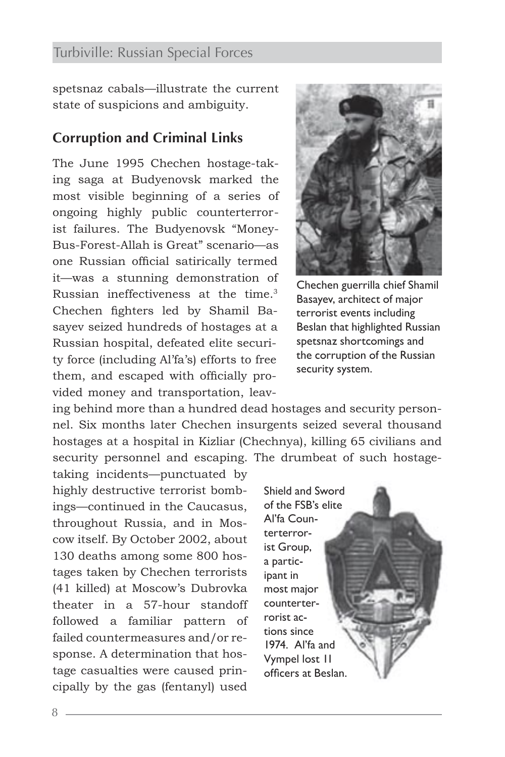spetsnaz cabals—illustrate the current state of suspicions and ambiguity.

#### **Corruption and Criminal Links**

The June 1995 Chechen hostage-taking saga at Budyenovsk marked the most visible beginning of a series of ongoing highly public counterterrorist failures. The Budyenovsk "Money-Bus-Forest-Allah is Great" scenario—as one Russian official satirically termed it—was a stunning demonstration of Russian ineffectiveness at the time.3 Chechen fighters led by Shamil Basayev seized hundreds of hostages at a Russian hospital, defeated elite security force (including Al'fa's) efforts to free them, and escaped with officially provided money and transportation, leav-



Chechen guerrilla chief Shamil Basayev, architect of major terrorist events including Beslan that highlighted Russian spetsnaz shortcomings and the corruption of the Russian security system.

ing behind more than a hundred dead hostages and security personnel. Six months later Chechen insurgents seized several thousand hostages at a hospital in Kizliar (Chechnya), killing 65 civilians and security personnel and escaping. The drumbeat of such hostage-

taking incidents—punctuated by highly destructive terrorist bombings—continued in the Caucasus, throughout Russia, and in Moscow itself. By October 2002, about 130 deaths among some 800 hostages taken by Chechen terrorists (41 killed) at Moscow's Dubrovka theater in a 57-hour standoff followed a familiar pattern of failed countermeasures and/or response. A determination that hostage casualties were caused principally by the gas (fentanyl) used

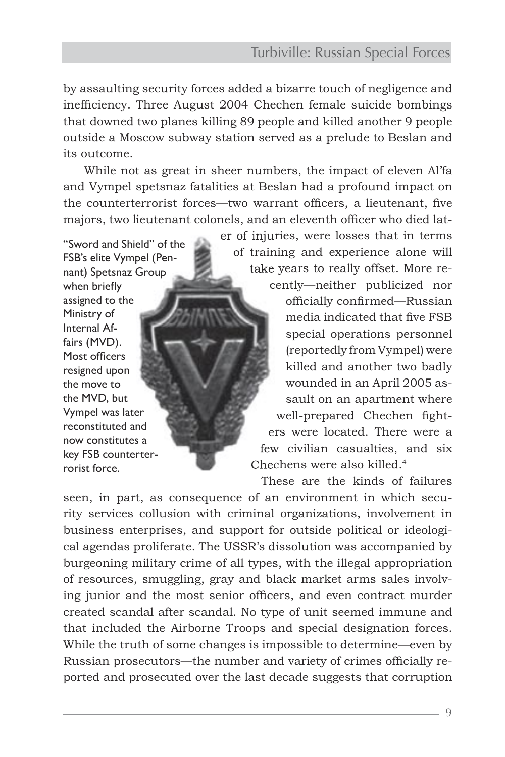by assaulting security forces added a bizarre touch of negligence and inefficiency. Three August 2004 Chechen female suicide bombings that downed two planes killing 89 people and killed another 9 people outside a Moscow subway station served as a prelude to Beslan and its outcome.

While not as great in sheer numbers, the impact of eleven Al'fa and Vympel spetsnaz fatalities at Beslan had a profound impact on the counterterrorist forces—two warrant officers, a lieutenant, five majors, two lieutenant colonels, and an eleventh officer who died lat-

"Sword and Shield" of the FSB's elite Vympel (Pennant) Spetsnaz Group when briefly assigned to the Ministry of Internal Affairs (MVD). Most officers resigned upon the move to the MVD, but Vympel was later reconstituted and now constitutes a key FSB counterterrorist force.

er of injuries, were losses that in terms of training and experience alone will take years to really offset. More re-

cently—neither publicized nor officially confirmed—Russian media indicated that five FSB special operations personnel (reportedly from Vympel) were killed and another two badly wounded in an April 2005 assault on an apartment where well-prepared Chechen fighters were located. There were a few civilian casualties, and six Chechens were also killed.<sup>4</sup>

These are the kinds of failures

seen, in part, as consequence of an environment in which security services collusion with criminal organizations, involvement in business enterprises, and support for outside political or ideological agendas proliferate. The USSR's dissolution was accompanied by burgeoning military crime of all types, with the illegal appropriation of resources, smuggling, gray and black market arms sales involving junior and the most senior officers, and even contract murder created scandal after scandal. No type of unit seemed immune and that included the Airborne Troops and special designation forces. While the truth of some changes is impossible to determine—even by Russian prosecutors—the number and variety of crimes officially reported and prosecuted over the last decade suggests that corruption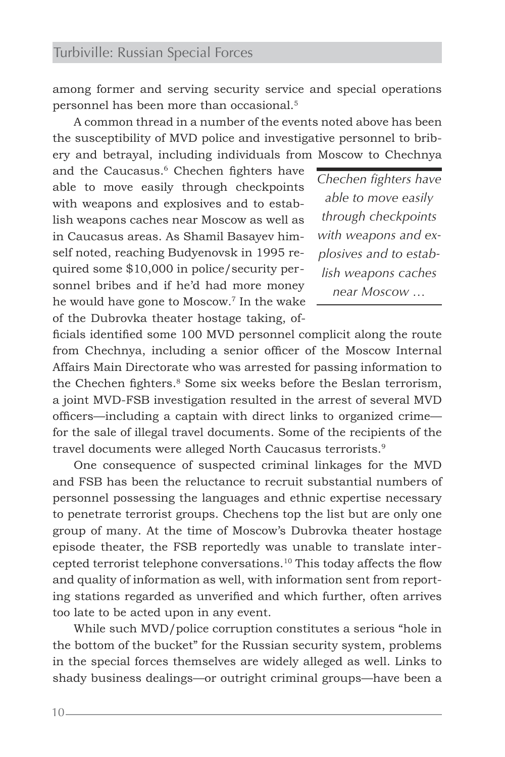among former and serving security service and special operations personnel has been more than occasional.5

A common thread in a number of the events noted above has been the susceptibility of MVD police and investigative personnel to bribery and betrayal, including individuals from Moscow to Chechnya

and the Caucasus.<sup>6</sup> Chechen fighters have able to move easily through checkpoints with weapons and explosives and to establish weapons caches near Moscow as well as in Caucasus areas. As Shamil Basayev himself noted, reaching Budyenovsk in 1995 required some \$10,000 in police/security personnel bribes and if he'd had more money he would have gone to Moscow.7 In the wake of the Dubrovka theater hostage taking, of-

*Chechen fighters have able to move easily through checkpoints with weapons and explosives and to establish weapons caches near Moscow …*

ficials identified some 100 MVD personnel complicit along the route from Chechnya, including a senior officer of the Moscow Internal Affairs Main Directorate who was arrested for passing information to the Chechen fighters.<sup>8</sup> Some six weeks before the Beslan terrorism, a joint MVD-FSB investigation resulted in the arrest of several MVD officers—including a captain with direct links to organized crime for the sale of illegal travel documents. Some of the recipients of the travel documents were alleged North Caucasus terrorists.<sup>9</sup>

One consequence of suspected criminal linkages for the MVD and FSB has been the reluctance to recruit substantial numbers of personnel possessing the languages and ethnic expertise necessary to penetrate terrorist groups. Chechens top the list but are only one group of many. At the time of Moscow's Dubrovka theater hostage episode theater, the FSB reportedly was unable to translate intercepted terrorist telephone conversations.10 This today affects the flow and quality of information as well, with information sent from reporting stations regarded as unverified and which further, often arrives too late to be acted upon in any event.

While such MVD/police corruption constitutes a serious "hole in the bottom of the bucket" for the Russian security system, problems in the special forces themselves are widely alleged as well. Links to shady business dealings—or outright criminal groups—have been a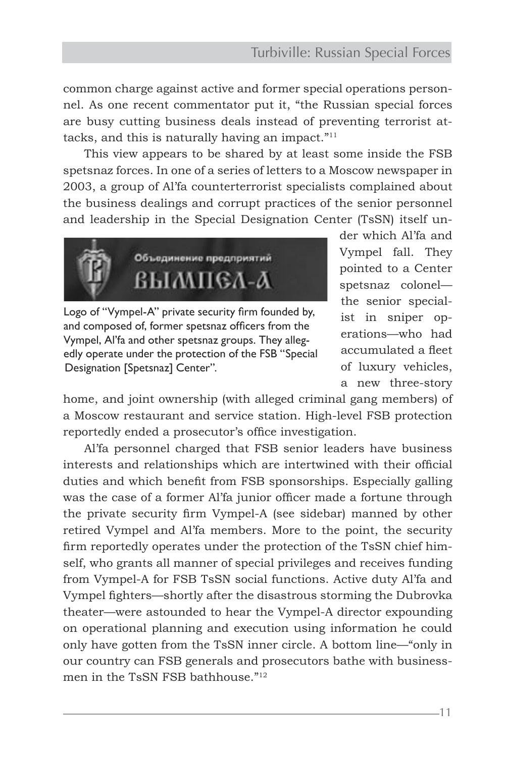common charge against active and former special operations personnel. As one recent commentator put it, "the Russian special forces are busy cutting business deals instead of preventing terrorist attacks, and this is naturally having an impact."11

This view appears to be shared by at least some inside the FSB spetsnaz forces. In one of a series of letters to a Moscow newspaper in 2003, a group of Al'fa counterterrorist specialists complained about the business dealings and corrupt practices of the senior personnel and leadership in the Special Designation Center (TsSN) itself un-



Logo of "Vympel-A" private security firm founded by, and composed of, former spetsnaz officers from the Vympel, Al'fa and other spetsnaz groups. They allegedly operate under the protection of the FSB "Special Designation [Spetsnaz] Center".

der which Al'fa and Vympel fall. They pointed to a Center spetsnaz colonel the senior specialist in sniper operations—who had accumulated a fleet of luxury vehicles, a new three-story

home, and joint ownership (with alleged criminal gang members) of a Moscow restaurant and service station. High-level FSB protection reportedly ended a prosecutor's office investigation.

Al'fa personnel charged that FSB senior leaders have business interests and relationships which are intertwined with their official duties and which benefit from FSB sponsorships. Especially galling was the case of a former Al'fa junior officer made a fortune through the private security firm Vympel-A (see sidebar) manned by other retired Vympel and Al'fa members. More to the point, the security firm reportedly operates under the protection of the TsSN chief himself, who grants all manner of special privileges and receives funding from Vympel-A for FSB TsSN social functions. Active duty Al'fa and Vympel fighters—shortly after the disastrous storming the Dubrovka theater—were astounded to hear the Vympel-A director expounding on operational planning and execution using information he could only have gotten from the TsSN inner circle. A bottom line—"only in our country can FSB generals and prosecutors bathe with businessmen in the TsSN FSB bathhouse."12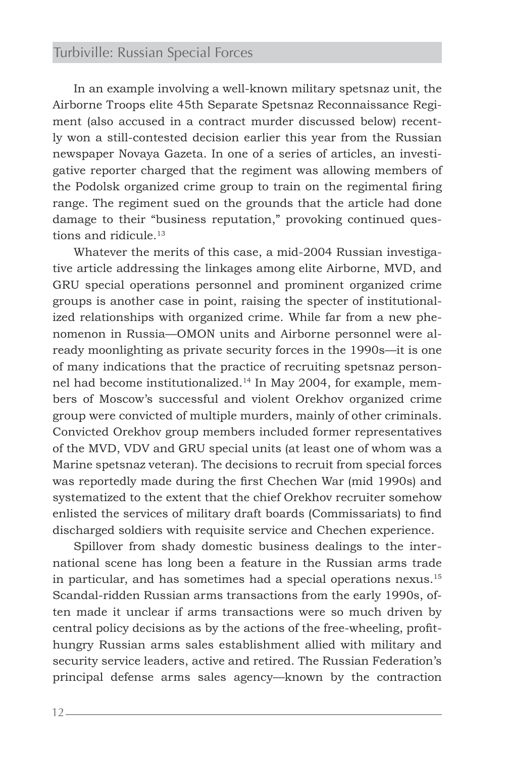In an example involving a well-known military spetsnaz unit, the Airborne Troops elite 45th Separate Spetsnaz Reconnaissance Regiment (also accused in a contract murder discussed below) recently won a still-contested decision earlier this year from the Russian newspaper Novaya Gazeta. In one of a series of articles, an investigative reporter charged that the regiment was allowing members of the Podolsk organized crime group to train on the regimental firing range. The regiment sued on the grounds that the article had done damage to their "business reputation," provoking continued questions and ridicule.<sup>13</sup>

Whatever the merits of this case, a mid-2004 Russian investigative article addressing the linkages among elite Airborne, MVD, and GRU special operations personnel and prominent organized crime groups is another case in point, raising the specter of institutionalized relationships with organized crime. While far from a new phenomenon in Russia—OMON units and Airborne personnel were already moonlighting as private security forces in the 1990s—it is one of many indications that the practice of recruiting spetsnaz personnel had become institutionalized.14 In May 2004, for example, members of Moscow's successful and violent Orekhov organized crime group were convicted of multiple murders, mainly of other criminals. Convicted Orekhov group members included former representatives of the MVD, VDV and GRU special units (at least one of whom was a Marine spetsnaz veteran). The decisions to recruit from special forces was reportedly made during the first Chechen War (mid 1990s) and systematized to the extent that the chief Orekhov recruiter somehow enlisted the services of military draft boards (Commissariats) to find discharged soldiers with requisite service and Chechen experience.

Spillover from shady domestic business dealings to the international scene has long been a feature in the Russian arms trade in particular, and has sometimes had a special operations nexus.15 Scandal-ridden Russian arms transactions from the early 1990s, often made it unclear if arms transactions were so much driven by central policy decisions as by the actions of the free-wheeling, profithungry Russian arms sales establishment allied with military and security service leaders, active and retired. The Russian Federation's principal defense arms sales agency—known by the contraction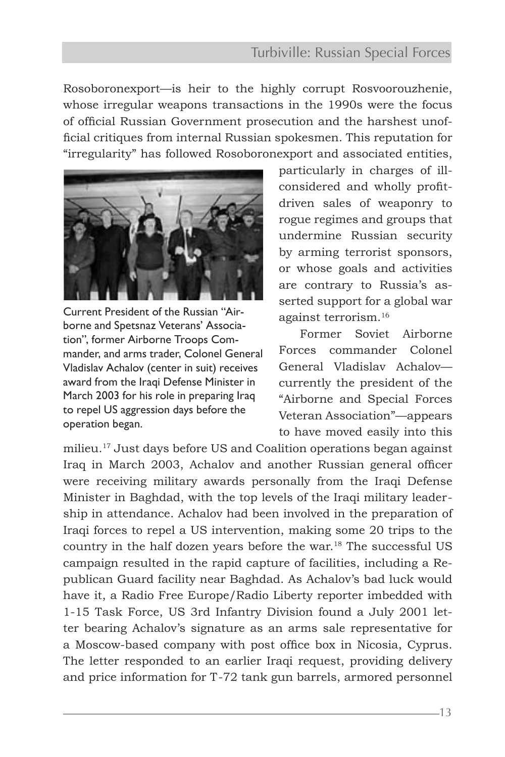Rosoboronexport—is heir to the highly corrupt Rosvoorouzhenie, whose irregular weapons transactions in the 1990s were the focus of official Russian Government prosecution and the harshest unofficial critiques from internal Russian spokesmen. This reputation for "irregularity" has followed Rosoboronexport and associated entities,



Current President of the Russian "Airborne and Spetsnaz Veterans' Association", former Airborne Troops Commander, and arms trader, Colonel General Vladislav Achalov (center in suit) receives award from the Iraqi Defense Minister in March 2003 for his role in preparing Iraq to repel US aggression days before the operation began.

particularly in charges of illconsidered and wholly profitdriven sales of weaponry to rogue regimes and groups that undermine Russian security by arming terrorist sponsors, or whose goals and activities are contrary to Russia's asserted support for a global war against terrorism.16

Former Soviet Airborne Forces commander Colonel General Vladislav Achalov currently the president of the "Airborne and Special Forces Veteran Association"—appears to have moved easily into this

milieu.17 Just days before US and Coalition operations began against Iraq in March 2003, Achalov and another Russian general officer were receiving military awards personally from the Iraqi Defense Minister in Baghdad, with the top levels of the Iraqi military leadership in attendance. Achalov had been involved in the preparation of Iraqi forces to repel a US intervention, making some 20 trips to the country in the half dozen years before the war.18 The successful US campaign resulted in the rapid capture of facilities, including a Republican Guard facility near Baghdad. As Achalov's bad luck would have it, a Radio Free Europe/Radio Liberty reporter imbedded with 1-15 Task Force, US 3rd Infantry Division found a July 2001 letter bearing Achalov's signature as an arms sale representative for a Moscow-based company with post office box in Nicosia, Cyprus. The letter responded to an earlier Iraqi request, providing delivery and price information for T-72 tank gun barrels, armored personnel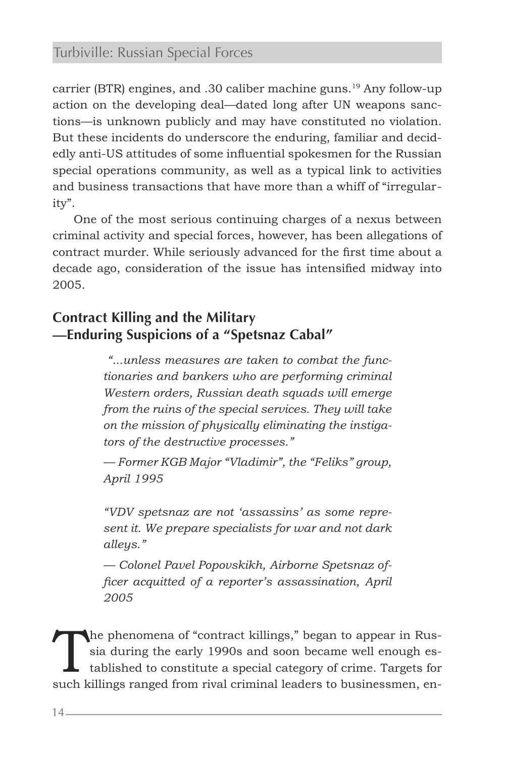carrier (BTR) engines, and .30 caliber machine guns.<sup>19</sup> Any follow-up action on the developing deal—dated long after UN weapons sanctions—is unknown publicly and may have constituted no violation. But these incidents do underscore the enduring, familiar and decidedly anti-US attitudes of some influential spokesmen for the Russian special operations community, as well as a typical link to activities and business transactions that have more than a whiff of "irregularity".

One of the most serious continuing charges of a nexus between criminal activity and special forces, however, has been allegations of contract murder. While seriously advanced for the first time about a decade ago, consideration of the issue has intensified midway into 2005.

# **Contract Killing and the Military —Enduring Suspicions of a "Spetsnaz Cabal"**

 *"...unless measures are taken to combat the functionaries and bankers who are performing criminal Western orders, Russian death squads will emerge from the ruins of the special services. They will take on the mission of physically eliminating the instigators of the destructive processes."*

*— Former KGB Major "Vladimir", the "Feliks" group, April 1995*

*"VDV spetsnaz are not 'assassins' as some represent it. We prepare specialists for war and not dark alleys."* 

*— Colonel Pavel Popovskikh, Airborne Spetsnaz officer acquitted of a reporter's assassination, April 2005*

The phenomena of "contract killings," began to appear in Russia during the early 1990s and soon became well enough established to constitute a special category of crime. Targets for such killings ranged from rival criminal leaders to businessmen, en-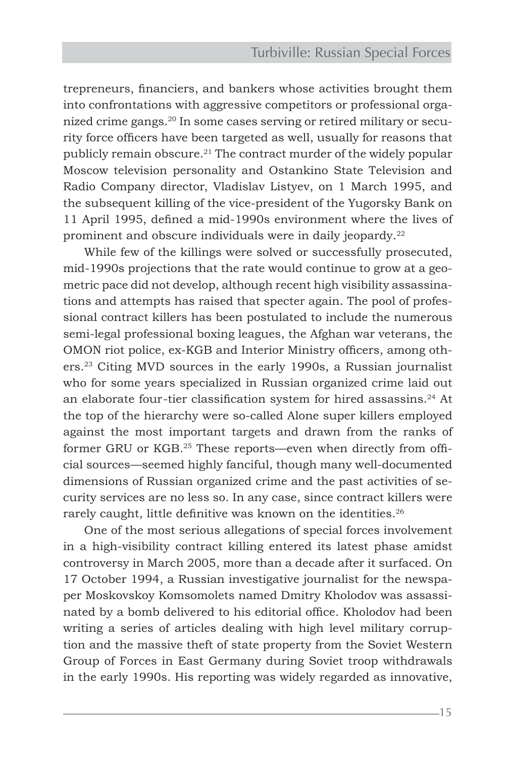trepreneurs, financiers, and bankers whose activities brought them into confrontations with aggressive competitors or professional organized crime gangs.20 In some cases serving or retired military or security force officers have been targeted as well, usually for reasons that publicly remain obscure.<sup>21</sup> The contract murder of the widely popular Moscow television personality and Ostankino State Television and Radio Company director, Vladislav Listyev, on 1 March 1995, and the subsequent killing of the vice-president of the Yugorsky Bank on 11 April 1995, defined a mid-1990s environment where the lives of prominent and obscure individuals were in daily jeopardy.<sup>22</sup>

While few of the killings were solved or successfully prosecuted, mid-1990s projections that the rate would continue to grow at a geometric pace did not develop, although recent high visibility assassinations and attempts has raised that specter again. The pool of professional contract killers has been postulated to include the numerous semi-legal professional boxing leagues, the Afghan war veterans, the OMON riot police, ex-KGB and Interior Ministry officers, among others.23 Citing MVD sources in the early 1990s, a Russian journalist who for some years specialized in Russian organized crime laid out an elaborate four-tier classification system for hired assassins.24 At the top of the hierarchy were so-called Alone super killers employed against the most important targets and drawn from the ranks of former GRU or KGB.25 These reports—even when directly from official sources—seemed highly fanciful, though many well-documented dimensions of Russian organized crime and the past activities of security services are no less so. In any case, since contract killers were rarely caught, little definitive was known on the identities.<sup>26</sup>

One of the most serious allegations of special forces involvement in a high-visibility contract killing entered its latest phase amidst controversy in March 2005, more than a decade after it surfaced. On 17 October 1994, a Russian investigative journalist for the newspaper Moskovskoy Komsomolets named Dmitry Kholodov was assassinated by a bomb delivered to his editorial office. Kholodov had been writing a series of articles dealing with high level military corruption and the massive theft of state property from the Soviet Western Group of Forces in East Germany during Soviet troop withdrawals in the early 1990s. His reporting was widely regarded as innovative,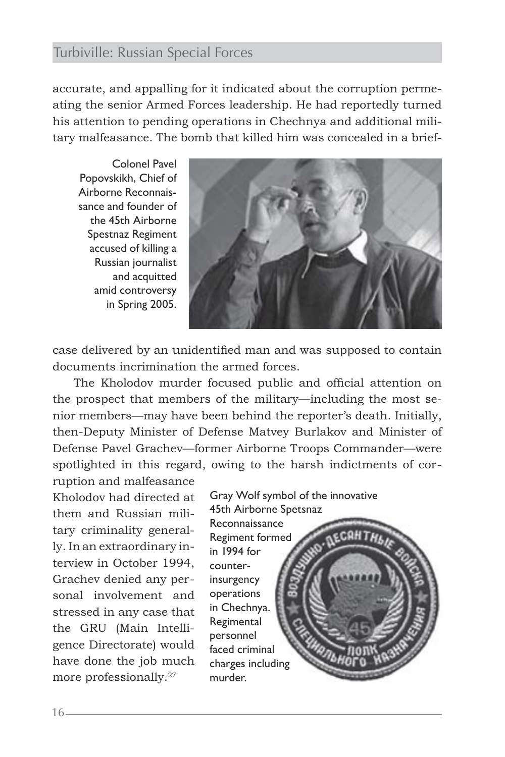accurate, and appalling for it indicated about the corruption permeating the senior Armed Forces leadership. He had reportedly turned his attention to pending operations in Chechnya and additional military malfeasance. The bomb that killed him was concealed in a brief-

Colonel Pavel Popovskikh, Chief of Airborne Reconnaissance and founder of the 45th Airborne Spestnaz Regiment accused of killing a Russian journalist and acquitted amid controversy in Spring 2005.



case delivered by an unidentified man and was supposed to contain documents incrimination the armed forces.

The Kholodov murder focused public and official attention on the prospect that members of the military—including the most senior members—may have been behind the reporter's death. Initially, then-Deputy Minister of Defense Matvey Burlakov and Minister of Defense Pavel Grachev—former Airborne Troops Commander—were spotlighted in this regard, owing to the harsh indictments of cor-

ruption and malfeasance Kholodov had directed at them and Russian military criminality generally. In an extraordinary interview in October 1994, Grachev denied any personal involvement and stressed in any case that the GRU (Main Intelligence Directorate) would have done the job much more professionally.<sup>27</sup>

Gray Wolf symbol of the innovative 45th Airborne Spetsnaz **Reconnaissance** Regiment formed in 1994 for counterinsurgency operations in Chechnya. **Regimental** personnel faced criminal charges including murder.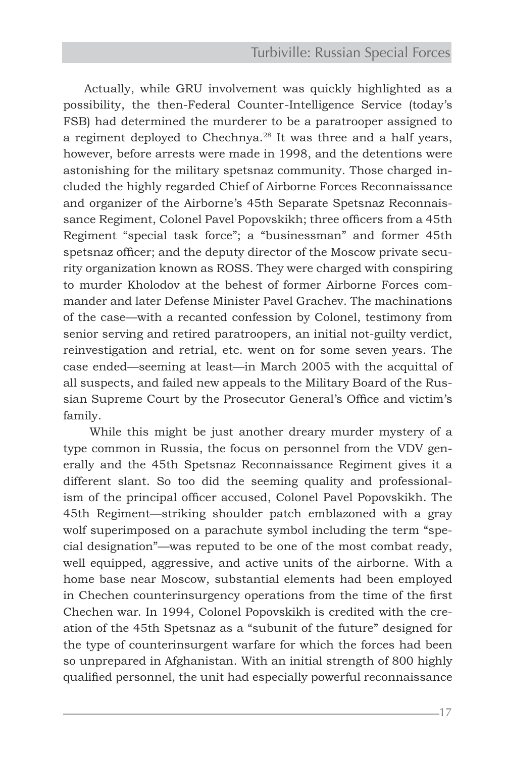Actually, while GRU involvement was quickly highlighted as a possibility, the then-Federal Counter-Intelligence Service (today's FSB) had determined the murderer to be a paratrooper assigned to a regiment deployed to Chechnya.<sup>28</sup> It was three and a half years, however, before arrests were made in 1998, and the detentions were astonishing for the military spetsnaz community. Those charged included the highly regarded Chief of Airborne Forces Reconnaissance and organizer of the Airborne's 45th Separate Spetsnaz Reconnaissance Regiment, Colonel Pavel Popovskikh; three officers from a 45th Regiment "special task force"; a "businessman" and former 45th spetsnaz officer; and the deputy director of the Moscow private security organization known as ROSS. They were charged with conspiring to murder Kholodov at the behest of former Airborne Forces commander and later Defense Minister Pavel Grachev. The machinations of the case—with a recanted confession by Colonel, testimony from senior serving and retired paratroopers, an initial not-guilty verdict, reinvestigation and retrial, etc. went on for some seven years. The case ended—seeming at least—in March 2005 with the acquittal of all suspects, and failed new appeals to the Military Board of the Russian Supreme Court by the Prosecutor General's Office and victim's family.

 While this might be just another dreary murder mystery of a type common in Russia, the focus on personnel from the VDV generally and the 45th Spetsnaz Reconnaissance Regiment gives it a different slant. So too did the seeming quality and professionalism of the principal officer accused, Colonel Pavel Popovskikh. The 45th Regiment—striking shoulder patch emblazoned with a gray wolf superimposed on a parachute symbol including the term "special designation"—was reputed to be one of the most combat ready, well equipped, aggressive, and active units of the airborne. With a home base near Moscow, substantial elements had been employed in Chechen counterinsurgency operations from the time of the first Chechen war. In 1994, Colonel Popovskikh is credited with the creation of the 45th Spetsnaz as a "subunit of the future" designed for the type of counterinsurgent warfare for which the forces had been so unprepared in Afghanistan. With an initial strength of 800 highly qualified personnel, the unit had especially powerful reconnaissance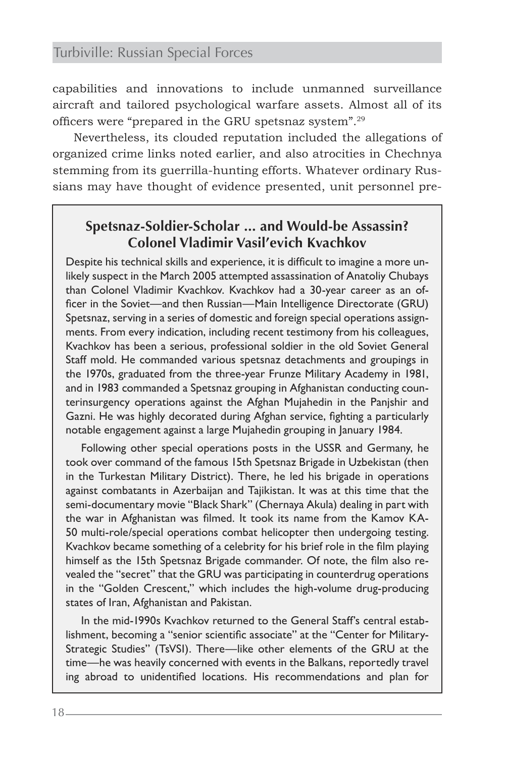capabilities and innovations to include unmanned surveillance aircraft and tailored psychological warfare assets. Almost all of its officers were "prepared in the GRU spetsnaz system".29

Nevertheless, its clouded reputation included the allegations of organized crime links noted earlier, and also atrocities in Chechnya stemming from its guerrilla-hunting efforts. Whatever ordinary Russians may have thought of evidence presented, unit personnel pre-

# **Spetsnaz-Soldier-Scholar ... and Would-be Assassin? Colonel Vladimir Vasil'evich Kvachkov**

Despite his technical skills and experience, it is difficult to imagine a more unlikely suspect in the March 2005 attempted assassination of Anatoliy Chubays than Colonel Vladimir Kvachkov. Kvachkov had a 30-year career as an officer in the Soviet—and then Russian—Main Intelligence Directorate (GRU) Spetsnaz, serving in a series of domestic and foreign special operations assignments. From every indication, including recent testimony from his colleagues, Kvachkov has been a serious, professional soldier in the old Soviet General Staff mold. He commanded various spetsnaz detachments and groupings in the 1970s, graduated from the three-year Frunze Military Academy in 1981, and in 1983 commanded a Spetsnaz grouping in Afghanistan conducting counterinsurgency operations against the Afghan Mujahedin in the Panjshir and Gazni. He was highly decorated during Afghan service, fighting a particularly notable engagement against a large Mujahedin grouping in January 1984.

 Following other special operations posts in the USSR and Germany, he took over command of the famous 15th Spetsnaz Brigade in Uzbekistan (then in the Turkestan Military District). There, he led his brigade in operations against combatants in Azerbaijan and Tajikistan. It was at this time that the semi-documentary movie "Black Shark" (Chernaya Akula) dealing in part with the war in Afghanistan was filmed. It took its name from the Kamov KA-50 multi-role/special operations combat helicopter then undergoing testing. Kvachkov became something of a celebrity for his brief role in the film playing himself as the 15th Spetsnaz Brigade commander. Of note, the film also revealed the "secret" that the GRU was participating in counterdrug operations in the "Golden Crescent," which includes the high-volume drug-producing states of Iran, Afghanistan and Pakistan.

 In the mid-1990s Kvachkov returned to the General Staff's central establishment, becoming a "senior scientific associate" at the "Center for Military-Strategic Studies" (TsVSI). There—like other elements of the GRU at the time—he was heavily concerned with events in the Balkans, reportedly travel ing abroad to unidentified locations. His recommendations and plan for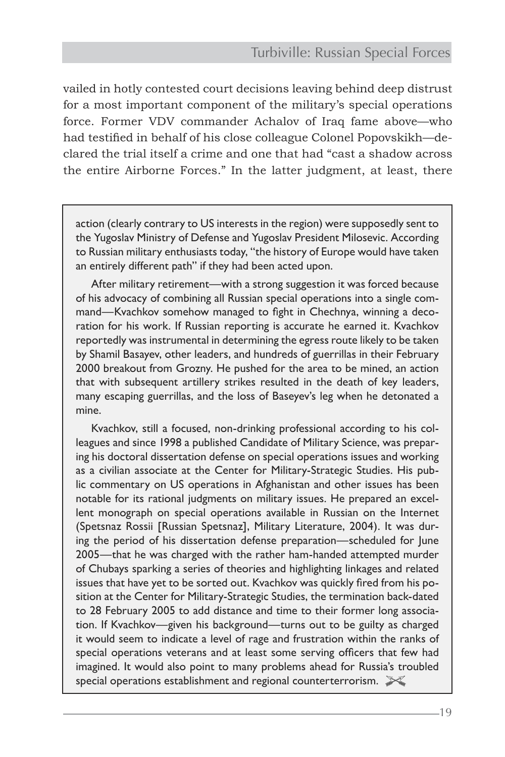vailed in hotly contested court decisions leaving behind deep distrust for a most important component of the military's special operations force. Former VDV commander Achalov of Iraq fame above—who had testified in behalf of his close colleague Colonel Popovskikh—declared the trial itself a crime and one that had "cast a shadow across the entire Airborne Forces." In the latter judgment, at least, there

action (clearly contrary to US interests in the region) were supposedly sent to the Yugoslav Ministry of Defense and Yugoslav President Milosevic. According to Russian military enthusiasts today, "the history of Europe would have taken an entirely different path" if they had been acted upon.

 After military retirement—with a strong suggestion it was forced because of his advocacy of combining all Russian special operations into a single command—Kvachkov somehow managed to fight in Chechnya, winning a decoration for his work. If Russian reporting is accurate he earned it. Kvachkov reportedly was instrumental in determining the egress route likely to be taken by Shamil Basayev, other leaders, and hundreds of guerrillas in their February 2000 breakout from Grozny. He pushed for the area to be mined, an action that with subsequent artillery strikes resulted in the death of key leaders, many escaping guerrillas, and the loss of Baseyev's leg when he detonated a mine.

 Kvachkov, still a focused, non-drinking professional according to his colleagues and since 1998 a published Candidate of Military Science, was preparing his doctoral dissertation defense on special operations issues and working as a civilian associate at the Center for Military-Strategic Studies. His public commentary on US operations in Afghanistan and other issues has been notable for its rational judgments on military issues. He prepared an excellent monograph on special operations available in Russian on the Internet (Spetsnaz Rossii [Russian Spetsnaz], Military Literature, 2004). It was during the period of his dissertation defense preparation—scheduled for June 2005—that he was charged with the rather ham-handed attempted murder of Chubays sparking a series of theories and highlighting linkages and related issues that have yet to be sorted out. Kvachkov was quickly fired from his position at the Center for Military-Strategic Studies, the termination back-dated to 28 February 2005 to add distance and time to their former long association. If Kvachkov—given his background—turns out to be guilty as charged it would seem to indicate a level of rage and frustration within the ranks of special operations veterans and at least some serving officers that few had imagined. It would also point to many problems ahead for Russia's troubled special operations establishment and regional counterterrorism.  $\mathbb{X}$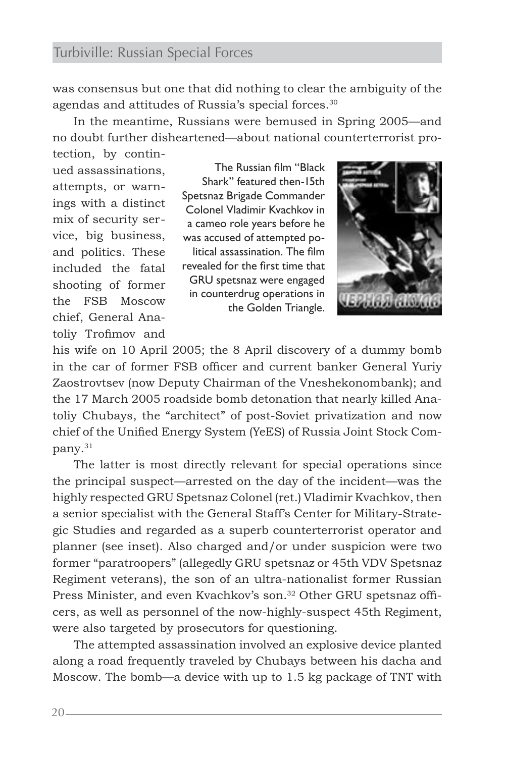was consensus but one that did nothing to clear the ambiguity of the agendas and attitudes of Russia's special forces.<sup>30</sup>

In the meantime, Russians were bemused in Spring 2005—and no doubt further disheartened—about national counterterrorist protection, by contin-

ued assassinations, attempts, or warnings with a distinct mix of security service, big business, and politics. These included the fatal shooting of former the FSB Moscow chief, General Anatoliy Trofimov and

The Russian film "Black Shark" featured then-15th Spetsnaz Brigade Commander Colonel Vladimir Kvachkov in a cameo role years before he was accused of attempted political assassination. The film revealed for the first time that GRU spetsnaz were engaged in counterdrug operations in the Golden Triangle.



his wife on 10 April 2005; the 8 April discovery of a dummy bomb in the car of former FSB officer and current banker General Yuriy Zaostrovtsev (now Deputy Chairman of the Vneshekonombank); and the 17 March 2005 roadside bomb detonation that nearly killed Anatoliy Chubays, the "architect" of post-Soviet privatization and now chief of the Unified Energy System (YeES) of Russia Joint Stock Company.31

The latter is most directly relevant for special operations since the principal suspect—arrested on the day of the incident—was the highly respected GRU Spetsnaz Colonel (ret.) Vladimir Kvachkov, then a senior specialist with the General Staff's Center for Military-Strategic Studies and regarded as a superb counterterrorist operator and planner (see inset). Also charged and/or under suspicion were two former "paratroopers" (allegedly GRU spetsnaz or 45th VDV Spetsnaz Regiment veterans), the son of an ultra-nationalist former Russian Press Minister, and even Kvachkov's son.<sup>32</sup> Other GRU spetsnaz officers, as well as personnel of the now-highly-suspect 45th Regiment, were also targeted by prosecutors for questioning.

The attempted assassination involved an explosive device planted along a road frequently traveled by Chubays between his dacha and Moscow. The bomb—a device with up to 1.5 kg package of TNT with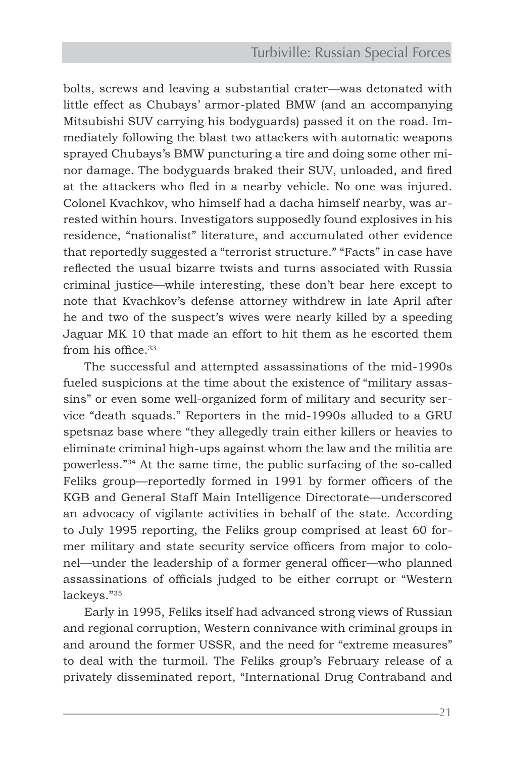bolts, screws and leaving a substantial crater—was detonated with little effect as Chubays' armor-plated BMW (and an accompanying Mitsubishi SUV carrying his bodyguards) passed it on the road. Immediately following the blast two attackers with automatic weapons sprayed Chubays's BMW puncturing a tire and doing some other minor damage. The bodyguards braked their SUV, unloaded, and fired at the attackers who fled in a nearby vehicle. No one was injured. Colonel Kvachkov, who himself had a dacha himself nearby, was arrested within hours. Investigators supposedly found explosives in his residence, "nationalist" literature, and accumulated other evidence that reportedly suggested a "terrorist structure." "Facts" in case have reflected the usual bizarre twists and turns associated with Russia criminal justice—while interesting, these don't bear here except to note that Kvachkov's defense attorney withdrew in late April after he and two of the suspect's wives were nearly killed by a speeding Jaguar MK 10 that made an effort to hit them as he escorted them from his office.33

The successful and attempted assassinations of the mid-1990s fueled suspicions at the time about the existence of "military assassins" or even some well-organized form of military and security service "death squads." Reporters in the mid-1990s alluded to a GRU spetsnaz base where "they allegedly train either killers or heavies to eliminate criminal high-ups against whom the law and the militia are powerless."34 At the same time, the public surfacing of the so-called Feliks group—reportedly formed in 1991 by former officers of the KGB and General Staff Main Intelligence Directorate—underscored an advocacy of vigilante activities in behalf of the state. According to July 1995 reporting, the Feliks group comprised at least 60 former military and state security service officers from major to colonel—under the leadership of a former general officer—who planned assassinations of officials judged to be either corrupt or "Western lackeys."35

Early in 1995, Feliks itself had advanced strong views of Russian and regional corruption, Western connivance with criminal groups in and around the former USSR, and the need for "extreme measures" to deal with the turmoil. The Feliks group's February release of a privately disseminated report, "International Drug Contraband and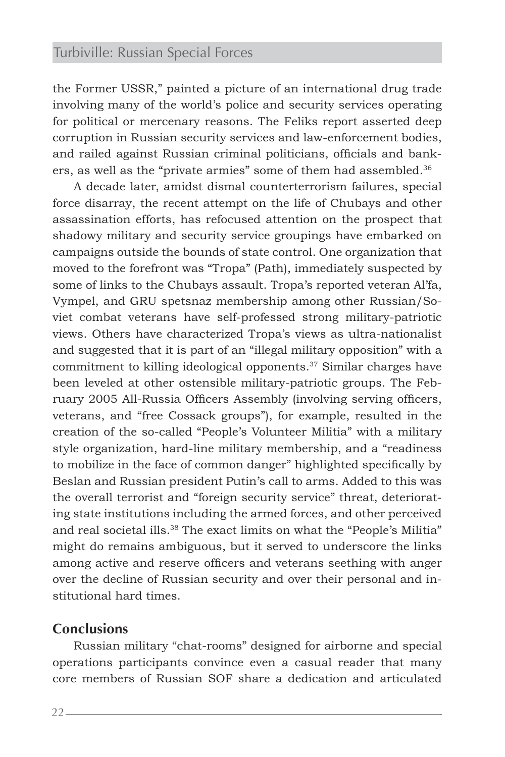the Former USSR," painted a picture of an international drug trade involving many of the world's police and security services operating for political or mercenary reasons. The Feliks report asserted deep corruption in Russian security services and law-enforcement bodies, and railed against Russian criminal politicians, officials and bankers, as well as the "private armies" some of them had assembled.<sup>36</sup>

A decade later, amidst dismal counterterrorism failures, special force disarray, the recent attempt on the life of Chubays and other assassination efforts, has refocused attention on the prospect that shadowy military and security service groupings have embarked on campaigns outside the bounds of state control. One organization that moved to the forefront was "Tropa" (Path), immediately suspected by some of links to the Chubays assault. Tropa's reported veteran Al'fa, Vympel, and GRU spetsnaz membership among other Russian/Soviet combat veterans have self-professed strong military-patriotic views. Others have characterized Tropa's views as ultra-nationalist and suggested that it is part of an "illegal military opposition" with a commitment to killing ideological opponents.37 Similar charges have been leveled at other ostensible military-patriotic groups. The February 2005 All-Russia Officers Assembly (involving serving officers, veterans, and "free Cossack groups"), for example, resulted in the creation of the so-called "People's Volunteer Militia" with a military style organization, hard-line military membership, and a "readiness to mobilize in the face of common danger" highlighted specifically by Beslan and Russian president Putin's call to arms. Added to this was the overall terrorist and "foreign security service" threat, deteriorating state institutions including the armed forces, and other perceived and real societal ills.<sup>38</sup> The exact limits on what the "People's Militia" might do remains ambiguous, but it served to underscore the links among active and reserve officers and veterans seething with anger over the decline of Russian security and over their personal and institutional hard times.

#### **Conclusions**

Russian military "chat-rooms" designed for airborne and special operations participants convince even a casual reader that many core members of Russian SOF share a dedication and articulated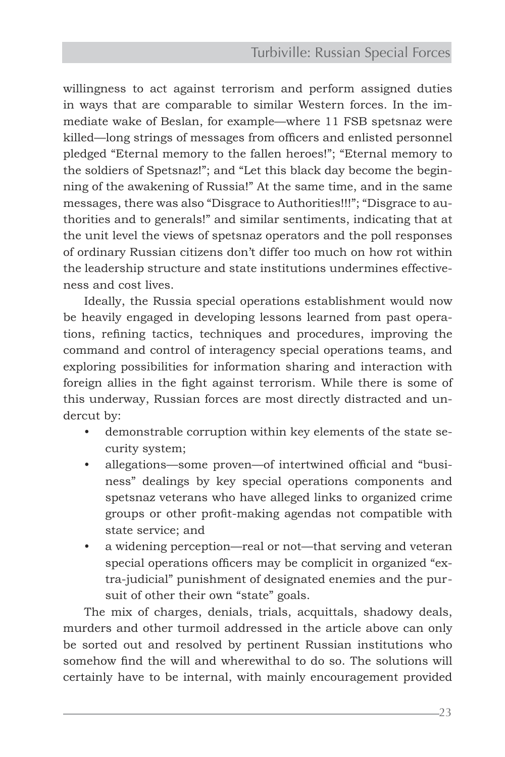willingness to act against terrorism and perform assigned duties in ways that are comparable to similar Western forces. In the immediate wake of Beslan, for example—where 11 FSB spetsnaz were killed—long strings of messages from officers and enlisted personnel pledged "Eternal memory to the fallen heroes!"; "Eternal memory to the soldiers of Spetsnaz!"; and "Let this black day become the beginning of the awakening of Russia!" At the same time, and in the same messages, there was also "Disgrace to Authorities!!!"; "Disgrace to authorities and to generals!" and similar sentiments, indicating that at the unit level the views of spetsnaz operators and the poll responses of ordinary Russian citizens don't differ too much on how rot within the leadership structure and state institutions undermines effectiveness and cost lives.

Ideally, the Russia special operations establishment would now be heavily engaged in developing lessons learned from past operations, refining tactics, techniques and procedures, improving the command and control of interagency special operations teams, and exploring possibilities for information sharing and interaction with foreign allies in the fight against terrorism. While there is some of this underway, Russian forces are most directly distracted and undercut by:

- demonstrable corruption within key elements of the state security system;
- allegations—some proven—of intertwined official and "business" dealings by key special operations components and spetsnaz veterans who have alleged links to organized crime groups or other profit-making agendas not compatible with state service; and
- a widening perception—real or not—that serving and veteran special operations officers may be complicit in organized "extra-judicial" punishment of designated enemies and the pursuit of other their own "state" goals.

The mix of charges, denials, trials, acquittals, shadowy deals, murders and other turmoil addressed in the article above can only be sorted out and resolved by pertinent Russian institutions who somehow find the will and wherewithal to do so. The solutions will certainly have to be internal, with mainly encouragement provided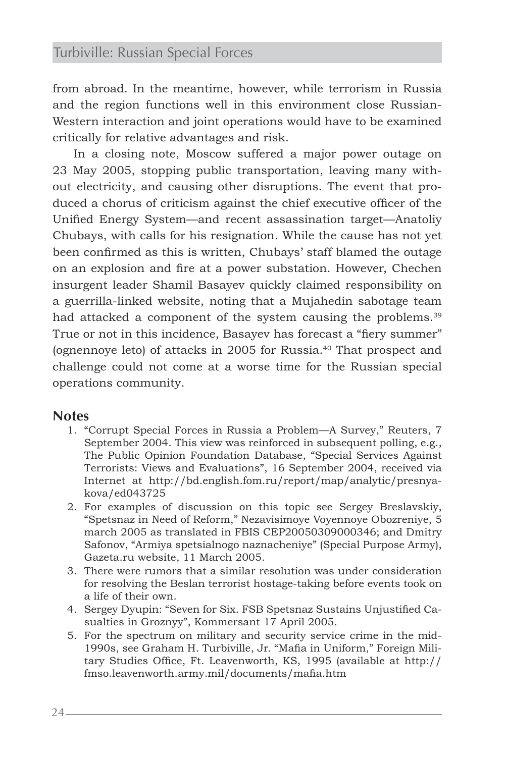from abroad. In the meantime, however, while terrorism in Russia and the region functions well in this environment close Russian-Western interaction and joint operations would have to be examined critically for relative advantages and risk.

In a closing note, Moscow suffered a major power outage on 23 May 2005, stopping public transportation, leaving many without electricity, and causing other disruptions. The event that produced a chorus of criticism against the chief executive officer of the Unified Energy System—and recent assassination target—Anatoliy Chubays, with calls for his resignation. While the cause has not yet been confirmed as this is written, Chubays' staff blamed the outage on an explosion and fire at a power substation. However, Chechen insurgent leader Shamil Basayev quickly claimed responsibility on a guerrilla-linked website, noting that a Mujahedin sabotage team had attacked a component of the system causing the problems.<sup>39</sup> True or not in this incidence, Basayev has forecast a "fiery summer" (ognennoye leto) of attacks in 2005 for Russia.40 That prospect and challenge could not come at a worse time for the Russian special operations community.

#### **Notes**

- 1. "Corrupt Special Forces in Russia a Problem—A Survey," Reuters, 7 September 2004. This view was reinforced in subsequent polling, e.g., The Public Opinion Foundation Database, "Special Services Against Terrorists: Views and Evaluations", 16 September 2004, received via Internet at http://bd.english.fom.ru/report/map/analytic/presnyakova/ed043725
- 2. For examples of discussion on this topic see Sergey Breslavskiy, "Spetsnaz in Need of Reform," Nezavisimoye Voyennoye Obozreniye, 5 march 2005 as translated in FBIS CEP20050309000346; and Dmitry Safonov, "Armiya spetsialnogo naznacheniye" (Special Purpose Army), Gazeta.ru website, 11 March 2005.
- 3. There were rumors that a similar resolution was under consideration for resolving the Beslan terrorist hostage-taking before events took on a life of their own.
- 4. Sergey Dyupin: "Seven for Six. FSB Spetsnaz Sustains Unjustified Casualties in Groznyy", Kommersant 17 April 2005.
- 5. For the spectrum on military and security service crime in the mid-1990s, see Graham H. Turbiville, Jr. "Mafia in Uniform," Foreign Military Studies Office, Ft. Leavenworth, KS, 1995 (available at http:// fmso.leavenworth.army.mil/documents/mafia.htm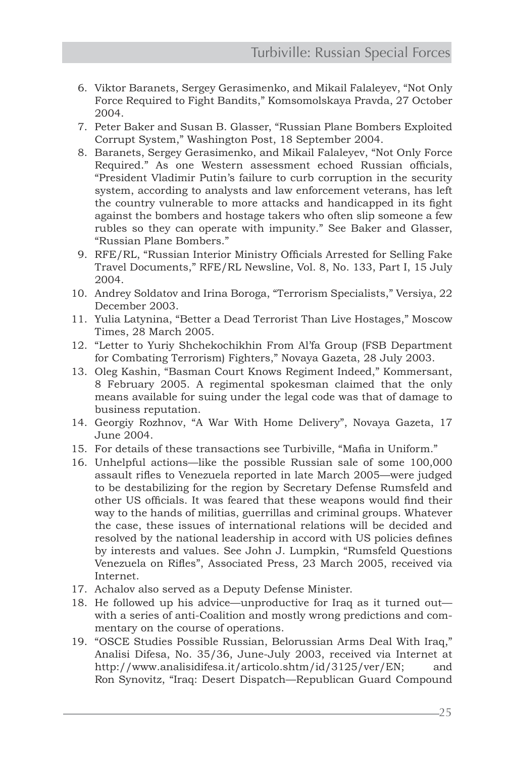- 6. Viktor Baranets, Sergey Gerasimenko, and Mikail Falaleyev, "Not Only Force Required to Fight Bandits," Komsomolskaya Pravda, 27 October 2004.
- 7. Peter Baker and Susan B. Glasser, "Russian Plane Bombers Exploited Corrupt System," Washington Post, 18 September 2004.
- 8. Baranets, Sergey Gerasimenko, and Mikail Falaleyev, "Not Only Force Required." As one Western assessment echoed Russian officials, "President Vladimir Putin's failure to curb corruption in the security system, according to analysts and law enforcement veterans, has left the country vulnerable to more attacks and handicapped in its fight against the bombers and hostage takers who often slip someone a few rubles so they can operate with impunity." See Baker and Glasser, "Russian Plane Bombers."
- 9. RFE/RL, "Russian Interior Ministry Officials Arrested for Selling Fake Travel Documents," RFE/RL Newsline, Vol. 8, No. 133, Part I, 15 July 2004.
- 10. Andrey Soldatov and Irina Boroga, "Terrorism Specialists," Versiya, 22 December 2003.
- 11. Yulia Latynina, "Better a Dead Terrorist Than Live Hostages," Moscow Times, 28 March 2005.
- 12. "Letter to Yuriy Shchekochikhin From Al'fa Group (FSB Department for Combating Terrorism) Fighters," Novaya Gazeta, 28 July 2003.
- 13. Oleg Kashin, "Basman Court Knows Regiment Indeed," Kommersant, 8 February 2005. A regimental spokesman claimed that the only means available for suing under the legal code was that of damage to business reputation.
- 14. Georgiy Rozhnov, "A War With Home Delivery", Novaya Gazeta, 17 June 2004.
- 15. For details of these transactions see Turbiville, "Mafia in Uniform."
- 16. Unhelpful actions—like the possible Russian sale of some 100,000 assault rifles to Venezuela reported in late March 2005—were judged to be destabilizing for the region by Secretary Defense Rumsfeld and other US officials. It was feared that these weapons would find their way to the hands of militias, guerrillas and criminal groups. Whatever the case, these issues of international relations will be decided and resolved by the national leadership in accord with US policies defines by interests and values. See John J. Lumpkin, "Rumsfeld Questions Venezuela on Rifles", Associated Press, 23 March 2005, received via Internet.
- 17. Achalov also served as a Deputy Defense Minister.
- 18. He followed up his advice—unproductive for Iraq as it turned out with a series of anti-Coalition and mostly wrong predictions and commentary on the course of operations.
- 19. "OSCE Studies Possible Russian, Belorussian Arms Deal With Iraq," Analisi Difesa, No. 35/36, June-July 2003, received via Internet at http://www.analisidifesa.it/articolo.shtm/id/3125/ver/EN; and Ron Synovitz, "Iraq: Desert Dispatch—Republican Guard Compound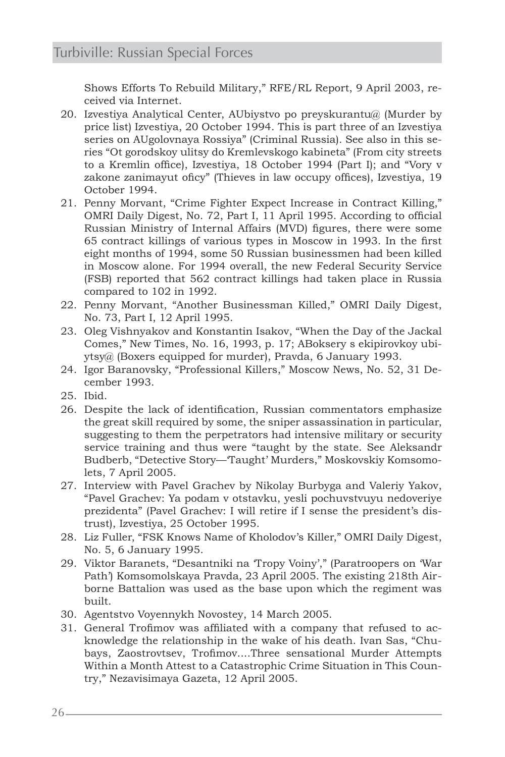Shows Efforts To Rebuild Military," RFE/RL Report, 9 April 2003, received via Internet.

- 20. Izvestiya Analytical Center, AUbiystvo po preyskurantu@ (Murder by price list) Izvestiya, 20 October 1994. This is part three of an Izvestiya series on AUgolovnaya Rossiya" (Criminal Russia). See also in this series "Ot gorodskoy ulitsy do Kremlevskogo kabineta" (From city streets to a Kremlin office), Izvestiya, 18 October 1994 (Part I); and "Vory v zakone zanimayut oficy" (Thieves in law occupy offices), Izvestiya, 19 October 1994.
- 21. Penny Morvant, "Crime Fighter Expect Increase in Contract Killing," OMRI Daily Digest, No. 72, Part I, 11 April 1995. According to official Russian Ministry of Internal Affairs (MVD) figures, there were some 65 contract killings of various types in Moscow in 1993. In the first eight months of 1994, some 50 Russian businessmen had been killed in Moscow alone. For 1994 overall, the new Federal Security Service (FSB) reported that 562 contract killings had taken place in Russia compared to 102 in 1992.
- 22. Penny Morvant, "Another Businessman Killed," OMRI Daily Digest, No. 73, Part I, 12 April 1995.
- 23. Oleg Vishnyakov and Konstantin Isakov, "When the Day of the Jackal Comes," New Times, No. 16, 1993, p. 17; ABoksery s ekipirovkoy ubiytsy@ (Boxers equipped for murder), Pravda, 6 January 1993.
- 24. Igor Baranovsky, "Professional Killers," Moscow News, No. 52, 31 December 1993.
- 25. Ibid.
- 26. Despite the lack of identification, Russian commentators emphasize the great skill required by some, the sniper assassination in particular, suggesting to them the perpetrators had intensive military or security service training and thus were "taught by the state. See Aleksandr Budberb, "Detective Story—'Taught' Murders," Moskovskiy Komsomolets, 7 April 2005.
- 27. Interview with Pavel Grachev by Nikolay Burbyga and Valeriy Yakov, "Pavel Grachev: Ya podam v otstavku, yesli pochuvstvuyu nedoveriye prezidenta" (Pavel Grachev: I will retire if I sense the president's distrust), Izvestiya, 25 October 1995.
- 28. Liz Fuller, "FSK Knows Name of Kholodov's Killer," OMRI Daily Digest, No. 5, 6 January 1995.
- 29. Viktor Baranets, "Desantniki na 'Tropy Voiny'," (Paratroopers on 'War Path') Komsomolskaya Pravda, 23 April 2005. The existing 218th Airborne Battalion was used as the base upon which the regiment was built.
- 30. Agentstvo Voyennykh Novostey, 14 March 2005.
- 31. General Trofimov was affiliated with a company that refused to acknowledge the relationship in the wake of his death. Ivan Sas, "Chubays, Zaostrovtsev, Trofimov....Three sensational Murder Attempts Within a Month Attest to a Catastrophic Crime Situation in This Country," Nezavisimaya Gazeta, 12 April 2005.